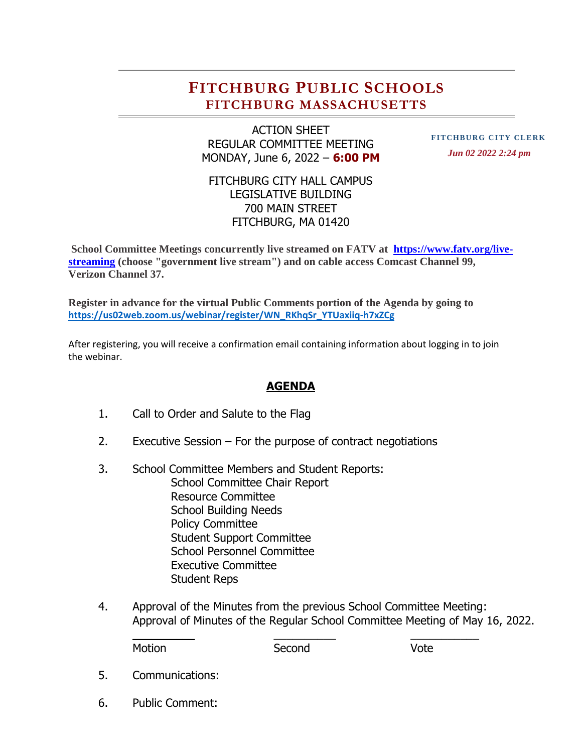## **FITCHBURG PUBLIC SCHOOLS FITCHBURG MASSACHUSETTS**

ACTION SHEET REGULAR COMMITTEE MEETING MONDAY, June 6, 2022 – **6:00 PM**

**FITCHBURG CITY CLERK**  *Jun 02 2022 2:24 pm*

## FITCHBURG CITY HALL CAMPUS LEGISLATIVE BUILDING 700 MAIN STREET FITCHBURG, MA 01420

**School Committee Meetings concurrently live streamed on FATV at [https://www.fatv.org/live](https://www.fatv.org/live-streaming)[streaming](https://www.fatv.org/live-streaming) (choose "government live stream") and on cable access Comcast Channel 99, Verizon Channel 37.** 

**Register in advance for the virtual Public Comments portion of the Agenda by going to [https://us02web.zoom.us/webinar/register/WN\\_RKhqSr\\_YTUaxiiq-h7xZCg](https://us02web.zoom.us/webinar/register/WN_RKhqSr_YTUaxiiq-h7xZCg)**

After registering, you will receive a confirmation email containing information about logging in to join the webinar.

## **AGENDA**

- 1. Call to Order and Salute to the Flag
- 2. Executive Session For the purpose of contract negotiations
- 3. School Committee Members and Student Reports: School Committee Chair Report Resource Committee School Building Needs Policy Committee Student Support Committee School Personnel Committee Executive Committee Student Reps
- 4. Approval of the Minutes from the previous School Committee Meeting: Approval of Minutes of the Regular School Committee Meeting of May 16, 2022.

 $\frac{1}{2}$  ,  $\frac{1}{2}$  ,  $\frac{1}{2}$  ,  $\frac{1}{2}$  ,  $\frac{1}{2}$  ,  $\frac{1}{2}$  ,  $\frac{1}{2}$  ,  $\frac{1}{2}$  ,  $\frac{1}{2}$  ,  $\frac{1}{2}$  ,  $\frac{1}{2}$  ,  $\frac{1}{2}$  ,  $\frac{1}{2}$  ,  $\frac{1}{2}$  ,  $\frac{1}{2}$  ,  $\frac{1}{2}$  ,  $\frac{1}{2}$  ,  $\frac{1}{2}$  ,  $\frac{1$ 

Motion Second Vote

- 5. Communications:
- 6. Public Comment: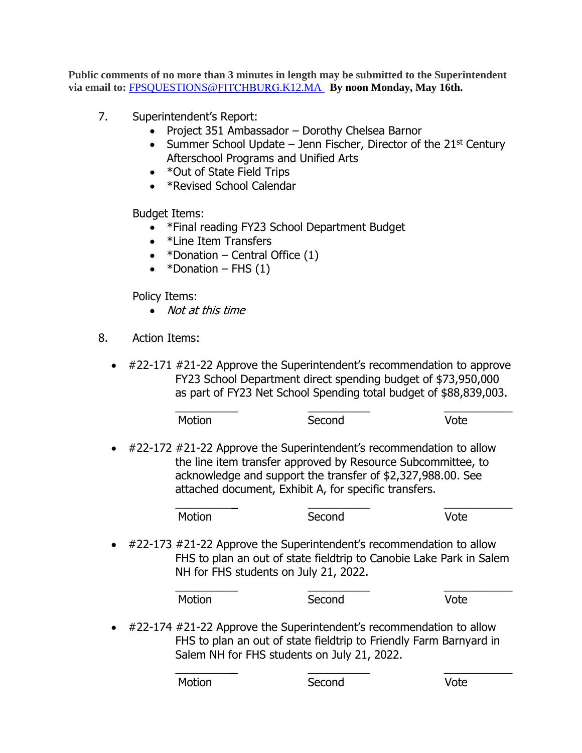**Public comments of no more than 3 minutes in length may be submitted to the Superintendent**  via email to: **[FPSQUESTIONS@](mailto:FPSQUESTIONS@FITCHBURG.K12.MA)FITCHBURG.K12.MA** By noon Monday, May 16th.

- 7. Superintendent's Report:
	- Project 351 Ambassador Dorothy Chelsea Barnor
	- Summer School Update Jenn Fischer, Director of the 21st Century Afterschool Programs and Unified Arts
	- \*Out of State Field Trips
	- \*Revised School Calendar

Budget Items:

- \*Final reading FY23 School Department Budget
- \*Line Item Transfers
- $*$ Donation Central Office  $(1)$
- $*$ Donation FHS  $(1)$

Policy Items:

- Not at this time
- 8. Action Items:
	- #22-171 #21-22 Approve the Superintendent's recommendation to approve FY23 School Department direct spending budget of \$73,950,000 as part of FY23 Net School Spending total budget of \$88,839,003.

|                                                                                                                                                                                                                                                                          |                                                                                                                                                                                     | Motion | Second | Vote |
|--------------------------------------------------------------------------------------------------------------------------------------------------------------------------------------------------------------------------------------------------------------------------|-------------------------------------------------------------------------------------------------------------------------------------------------------------------------------------|--------|--------|------|
| #22-172 #21-22 Approve the Superintendent's recommendation to allow<br>$\bullet$<br>the line item transfer approved by Resource Subcommittee, to<br>acknowledge and support the transfer of \$2,327,988.00. See<br>attached document, Exhibit A, for specific transfers. |                                                                                                                                                                                     |        |        |      |
|                                                                                                                                                                                                                                                                          |                                                                                                                                                                                     | Motion | Second | Vote |
| $\bullet$                                                                                                                                                                                                                                                                | #22-173 #21-22 Approve the Superintendent's recommendation to allow<br>FHS to plan an out of state fieldtrip to Canobie Lake Park in Salem<br>NH for FHS students on July 21, 2022. |        |        |      |
|                                                                                                                                                                                                                                                                          |                                                                                                                                                                                     | Motion | Second | /nte |

• #22-174 #21-22 Approve the Superintendent's recommendation to allow FHS to plan an out of state fieldtrip to Friendly Farm Barnyard in Salem NH for FHS students on July 21, 2022.

\_\_\_\_\_\_\_\_\_\_ \_\_\_\_\_\_\_\_\_\_ \_\_\_\_\_\_\_\_\_\_\_